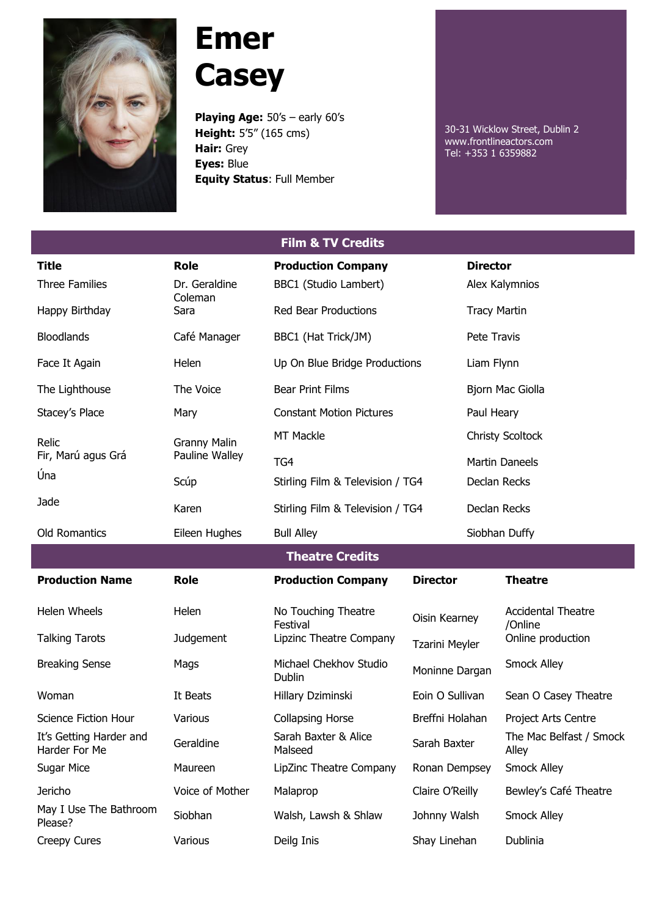

## **Emer Casey**

**Playing Age:** 50's – early 60's **Height:** 5'5" (165 cms) **Hair:** Grey **Eyes:** Blue **Equity Status**: Full Member

30-31 Wicklow Street, Dublin 2 www.frontlineactors.com Tel: +353 1 6359882

| <b>Film &amp; TV Credits</b>             |                                       |                                         |                                        |                         |                                                           |  |  |  |
|------------------------------------------|---------------------------------------|-----------------------------------------|----------------------------------------|-------------------------|-----------------------------------------------------------|--|--|--|
| <b>Title</b>                             | <b>Role</b>                           | <b>Production Company</b>               |                                        | <b>Director</b>         |                                                           |  |  |  |
| <b>Three Families</b>                    | Dr. Geraldine<br>Coleman              | BBC1 (Studio Lambert)                   |                                        |                         | Alex Kalymnios                                            |  |  |  |
| Happy Birthday                           | Sara                                  | <b>Red Bear Productions</b>             |                                        | <b>Tracy Martin</b>     |                                                           |  |  |  |
| <b>Bloodlands</b>                        | Café Manager                          | BBC1 (Hat Trick/JM)                     |                                        | Pete Travis             |                                                           |  |  |  |
| Face It Again                            | Helen                                 | Up On Blue Bridge Productions           |                                        | Liam Flynn              |                                                           |  |  |  |
| The Lighthouse                           | The Voice                             | <b>Bear Print Films</b>                 |                                        | Bjorn Mac Giolla        |                                                           |  |  |  |
| Stacey's Place                           | Mary                                  | <b>Constant Motion Pictures</b>         |                                        |                         | Paul Heary                                                |  |  |  |
| Relic<br>Fir, Marú agus Grá              | <b>Granny Malin</b><br>Pauline Walley | <b>MT Mackle</b>                        |                                        | <b>Christy Scoltock</b> |                                                           |  |  |  |
|                                          |                                       | TG4                                     |                                        | <b>Martin Daneels</b>   |                                                           |  |  |  |
| Úna                                      | Scúp                                  | Stirling Film & Television / TG4        |                                        | Declan Recks            |                                                           |  |  |  |
| Jade                                     | Karen                                 | Stirling Film & Television / TG4        |                                        | Declan Recks            |                                                           |  |  |  |
| <b>Old Romantics</b>                     | Eileen Hughes                         | <b>Bull Alley</b>                       |                                        | Siobhan Duffy           |                                                           |  |  |  |
| <b>Theatre Credits</b>                   |                                       |                                         |                                        |                         |                                                           |  |  |  |
| <b>Production Name</b>                   | <b>Role</b>                           | <b>Production Company</b>               | <b>Director</b>                        |                         | <b>Theatre</b>                                            |  |  |  |
| <b>Helen Wheels</b>                      | Helen                                 | No Touching Theatre                     | Oisin Kearney<br><b>Tzarini Meyler</b> |                         | <b>Accidental Theatre</b><br>/Online<br>Online production |  |  |  |
| <b>Talking Tarots</b>                    | Judgement                             | Festival<br>Lipzinc Theatre Company     |                                        |                         |                                                           |  |  |  |
| <b>Breaking Sense</b>                    | Mags                                  | Michael Chekhov Studio<br><b>Dublin</b> | Moninne Dargan                         |                         | <b>Smock Alley</b>                                        |  |  |  |
| Woman                                    | It Beats                              | Hillary Dziminski                       | Eoin O Sullivan                        |                         | Sean O Casey Theatre                                      |  |  |  |
| Science Fiction Hour                     | Various                               | <b>Collapsing Horse</b>                 | Breffni Holahan                        |                         | Project Arts Centre                                       |  |  |  |
| It's Getting Harder and<br>Harder For Me | Geraldine                             | Sarah Baxter & Alice<br>Malseed         | Sarah Baxter                           |                         | The Mac Belfast / Smock<br>Alley                          |  |  |  |
| Sugar Mice                               | Maureen                               | LipZinc Theatre Company                 | Ronan Dempsey                          |                         | Smock Alley                                               |  |  |  |
| Jericho                                  | Voice of Mother                       | Malaprop                                | Claire O'Reilly                        |                         | Bewley's Café Theatre                                     |  |  |  |
| May I Use The Bathroom<br>Please?        | Siobhan                               | Walsh, Lawsh & Shlaw                    | Johnny Walsh                           |                         | Smock Alley                                               |  |  |  |

Creepy Cures **Various** Various Deilg Inis Shay Linehan Dublinia